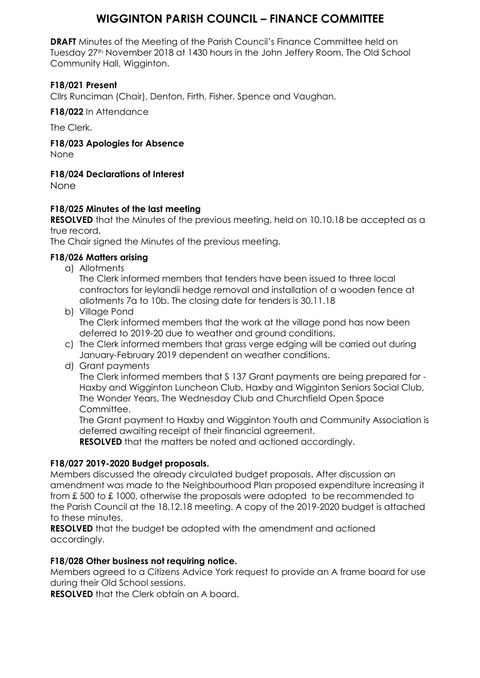## **WIGGINTON PARISH COUNCIL – FINANCE COMMITTEE**

**DRAFT** Minutes of the Meeting of the Parish Council's Finance Committee held on Tuesday 27<sup>th</sup> November 2018 at 1430 hours in the John Jeffery Room, The Old School Community Hall, Wigginton.

### **F18/021 Present**

Cllrs Runciman (Chair), Denton, Firth, Fisher, Spence and Vaughan.

**F18/022** In Attendance

The Clerk.

**F18/023 Apologies for Absence**

None

### **F18/024 Declarations of Interest**

None

### **F18/025 Minutes of the last meeting**

**RESOLVED** that the Minutes of the previous meeting, held on 10.10.18 be accepted as a true record.

The Chair signed the Minutes of the previous meeting.

### **F18/026 Matters arising**

a) Allotments

The Clerk informed members that tenders have been issued to three local contractors for leylandii hedge removal and installation of a wooden fence at allotments 7a to 10b. The closing date for tenders is 30.11.18

- b) Village Pond The Clerk informed members that the work at the village pond has now been deferred to 2019-20 due to weather and ground conditions.
- c) The Clerk informed members that grass verge edging will be carried out during January-February 2019 dependent on weather conditions.
- d) Grant payments

The Clerk informed members that S 137 Grant payments are being prepared for - Haxby and Wigginton Luncheon Club, Haxby and Wigginton Seniors Social Club, The Wonder Years, The Wednesday Club and Churchfield Open Space Committee.

The Grant payment to Haxby and Wigginton Youth and Community Association is deferred awaiting receipt of their financial agreement.

**RESOLVED** that the matters be noted and actioned accordingly.

### **F18/027 2019-2020 Budget proposals.**

Members discussed the already circulated budget proposals. After discussion an amendment was made to the Neighbourhood Plan proposed expenditure increasing it from £ 500 to £ 1000, otherwise the proposals were adopted to be recommended to the Parish Council at the 18.12.18 meeting. A copy of the 2019-2020 budget is attached to these minutes.

**RESOLVED** that the budget be adopted with the amendment and actioned accordingly.

### **F18/028 Other business not requiring notice.**

Members agreed to a Citizens Advice York request to provide an A frame board for use during their Old School sessions.

**RESOLVED** that the Clerk obtain an A board.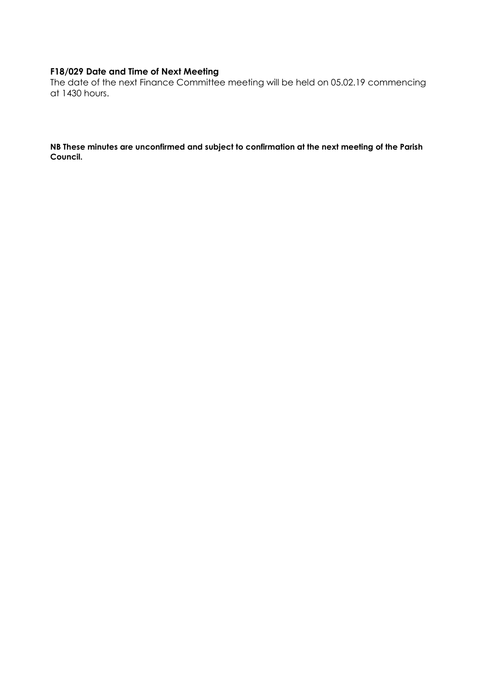### **F18/029 Date and Time of Next Meeting**

The date of the next Finance Committee meeting will be held on 05.02.19 commencing at 1430 hours.

**NB These minutes are unconfirmed and subject to confirmation at the next meeting of the Parish Council.**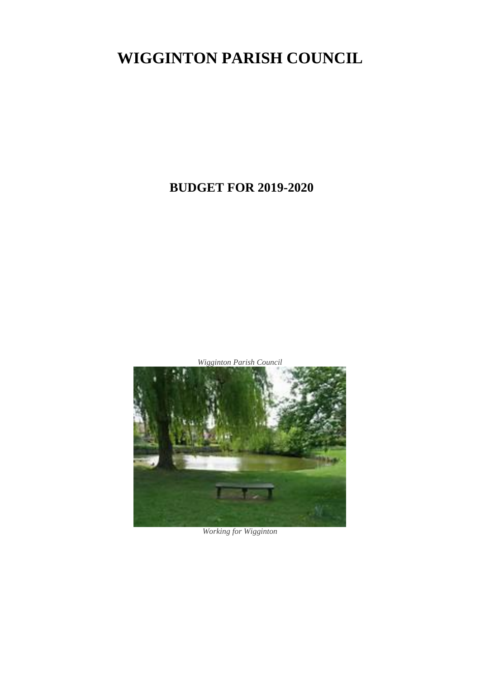# **WIGGINTON PARISH COUNCIL**

## **BUDGET FOR 2019-2020**

*Wigginton Parish Council*



*Working for Wigginton*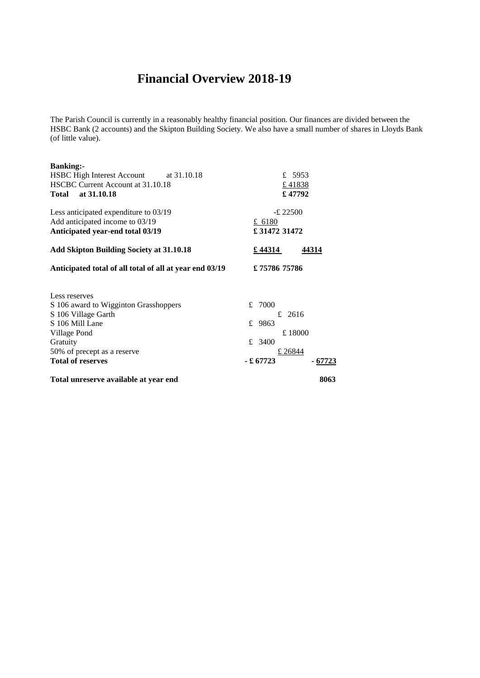## **Financial Overview 2018-19**

The Parish Council is currently in a reasonably healthy financial position. Our finances are divided between the HSBC Bank (2 accounts) and the Skipton Building Society. We also have a small number of shares in Lloyds Bank (of little value).

| <b>Banking:-</b><br>HSBC High Interest Account at 31.10.18 |             | £ 5953  |  |
|------------------------------------------------------------|-------------|---------|--|
| HSCBC Current Account at 31.10.18                          | £41838      |         |  |
| Total at 31.10.18                                          | €47792      |         |  |
|                                                            |             |         |  |
| Less anticipated expenditure to 03/19                      | $-£$ 22500  |         |  |
| Add anticipated income to 03/19                            | £ 6180      |         |  |
| Anticipated year-end total 03/19                           | £3147231472 |         |  |
| <b>Add Skipton Building Society at 31.10.18</b>            | £44314      | 44314   |  |
| Anticipated total of all total of all at year end 03/19    | £7578675786 |         |  |
| Less reserves                                              |             |         |  |
| S 106 award to Wigginton Grasshoppers                      | 7000<br>£   |         |  |
| S 106 Village Garth                                        | £ 2616      |         |  |
| S 106 Mill Lane                                            | £ 9863      |         |  |
| Village Pond                                               | £18000      |         |  |
| Gratuity                                                   | £ 3400      |         |  |
| 50% of precept as a reserve                                | £ 26844     |         |  |
| <b>Total of reserves</b>                                   | - £ 67723   | - 67723 |  |
| Total unreserve available at year end                      |             | 8063    |  |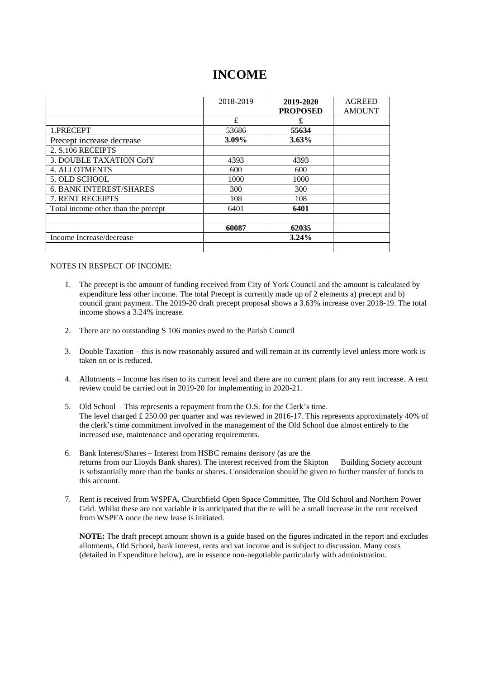## **INCOME**

|                                     | 2018-2019 | 2019-2020       | <b>AGREED</b> |
|-------------------------------------|-----------|-----------------|---------------|
|                                     |           | <b>PROPOSED</b> | <b>AMOUNT</b> |
|                                     | £         | £               |               |
| 1.PRECEPT                           | 53686     | 55634           |               |
| Precept increase decrease           | $3.09\%$  | $3.63\%$        |               |
| 2. S.106 RECEIPTS                   |           |                 |               |
| 3. DOUBLE TAXATION CofY             | 4393      | 4393            |               |
| <b>4. ALLOTMENTS</b>                | 600       | 600             |               |
| 5. OLD SCHOOL                       | 1000      | 1000            |               |
| <b>6. BANK INTEREST/SHARES</b>      | 300       | 300             |               |
| <b>7. RENT RECEIPTS</b>             | 108       | 108             |               |
| Total income other than the precept | 6401      | 6401            |               |
|                                     |           |                 |               |
|                                     | 60087     | 62035           |               |
| Income Increase/decrease            |           | $3.24\%$        |               |
|                                     |           |                 |               |

#### NOTES IN RESPECT OF INCOME:

- 1. The precept is the amount of funding received from City of York Council and the amount is calculated by expenditure less other income. The total Precept is currently made up of 2 elements a) precept and b) council grant payment. The 2019-20 draft precept proposal shows a 3.63% increase over 2018-19. The total income shows a 3.24% increase.
- 2. There are no outstanding S 106 monies owed to the Parish Council
- 3. Double Taxation this is now reasonably assured and will remain at its currently level unless more work is taken on or is reduced.
- 4. Allotments Income has risen to its current level and there are no current plans for any rent increase. A rent review could be carried out in 2019-20 for implementing in 2020-21.
- 5. Old School This represents a repayment from the O.S. for the Clerk's time. The level charged £ 250.00 per quarter and was reviewed in 2016-17. This represents approximately 40% of the clerk's time commitment involved in the management of the Old School due almost entirely to the increased use, maintenance and operating requirements.
- 6. Bank Interest/Shares Interest from HSBC remains derisory (as are the returns from our Lloyds Bank shares). The interest received from the Skipton Building Society account is substantially more than the banks or shares. Consideration should be given to further transfer of funds to this account.
- 7. Rent is received from WSPFA, Churchfield Open Space Committee, The Old School and Northern Power Grid. Whilst these are not variable it is anticipated that the re will be a small increase in the rent received from WSPFA once the new lease is initiated.

**NOTE:** The draft precept amount shown is a guide based on the figures indicated in the report and excludes allotments, Old School, bank interest, rents and vat income and is subject to discussion. Many costs (detailed in Expenditure below), are in essence non-negotiable particularly with administration.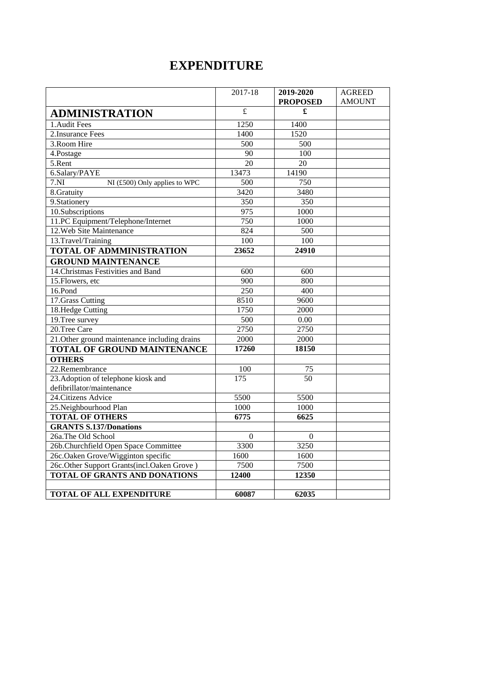## **EXPENDITURE**

|                                               | 2017-18                 | 2019-2020        | <b>AGREED</b> |
|-----------------------------------------------|-------------------------|------------------|---------------|
|                                               |                         | <b>PROPOSED</b>  | <b>AMOUNT</b> |
| <b>ADMINISTRATION</b>                         | $\overline{\mathbf{f}}$ | £                |               |
| 1. Audit Fees                                 | 1250                    | 1400             |               |
| 2. Insurance Fees                             | 1400                    | 1520             |               |
| 3. Room Hire                                  | $\overline{500}$        | 500              |               |
| 4.Postage                                     | 90                      | $\overline{100}$ |               |
| 5.Rent                                        | $\overline{20}$         | 20               |               |
| 6.Salary/PAYE                                 | 13473                   | 14190            |               |
| 7.NI<br>NI (£500) Only applies to WPC         | 500                     | 750              |               |
| 8.Gratuity                                    | 3420                    | 3480             |               |
| 9. Stationery                                 | 350                     | 350              |               |
| 10.Subscriptions                              | $\frac{975}{ }$         | 1000             |               |
| 11.PC Equipment/Telephone/Internet            | 750                     | 1000             |               |
| 12. Web Site Maintenance                      | 824                     | 500              |               |
| 13.Travel/Training                            | 100                     | 100              |               |
| TOTAL OF ADMMINISTRATION                      | 23652                   | 24910            |               |
| <b>GROUND MAINTENANCE</b>                     |                         |                  |               |
| 14. Christmas Festivities and Band            | 600                     | 600              |               |
| 15. Flowers, etc                              | 900                     | 800              |               |
| 16.Pond                                       | 250                     | 400              |               |
| 17. Grass Cutting                             | 8510                    | 9600             |               |
| 18.Hedge Cutting                              | 1750                    | 2000             |               |
| 19. Tree survey                               | 500                     | 0.00             |               |
| 20.Tree Care                                  | 2750                    | 2750             |               |
| 21. Other ground maintenance including drains | 2000                    | 2000             |               |
| <b>TOTAL OF GROUND MAINTENANCE</b>            | 17260                   | 18150            |               |
| <b>OTHERS</b>                                 |                         |                  |               |
| 22.Remembrance                                | 100                     | 75               |               |
| 23. Adoption of telephone kiosk and           | 175                     | $\overline{50}$  |               |
| defibrillator/maintenance                     |                         |                  |               |
| 24. Citizens Advice                           | 5500                    | 5500             |               |
| 25.Neighbourhood Plan                         | 1000                    | 1000             |               |
| <b>TOTAL OF OTHERS</b>                        | 6775                    | 6625             |               |
| <b>GRANTS S.137/Donations</b>                 |                         |                  |               |
| 26a.The Old School                            | $\theta$                | $\theta$         |               |
| 26b.Churchfield Open Space Committee          | 3300                    | 3250             |               |
| 26c.Oaken Grove/Wigginton specific            | 1600                    | 1600             |               |
| 26c.Other Support Grants(incl.Oaken Grove)    | 7500                    | 7500             |               |
| <b>TOTAL OF GRANTS AND DONATIONS</b>          | 12400                   | 12350            |               |
|                                               |                         |                  |               |
| <b>TOTAL OF ALL EXPENDITURE</b>               | 60087                   | 62035            |               |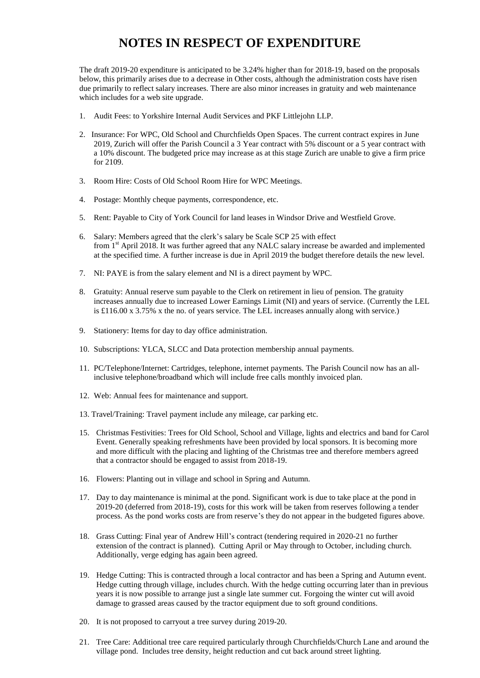## **NOTES IN RESPECT OF EXPENDITURE**

The draft 2019-20 expenditure is anticipated to be 3.24% higher than for 2018-19, based on the proposals below, this primarily arises due to a decrease in Other costs, although the administration costs have risen due primarily to reflect salary increases. There are also minor increases in gratuity and web maintenance which includes for a web site upgrade.

- 1. Audit Fees: to Yorkshire Internal Audit Services and PKF Littlejohn LLP.
- 2. Insurance: For WPC, Old School and Churchfields Open Spaces. The current contract expires in June 2019, Zurich will offer the Parish Council a 3 Year contract with 5% discount or a 5 year contract with a 10% discount. The budgeted price may increase as at this stage Zurich are unable to give a firm price for 2109.
- 3. Room Hire: Costs of Old School Room Hire for WPC Meetings.
- 4. Postage: Monthly cheque payments, correspondence, etc.
- 5. Rent: Payable to City of York Council for land leases in Windsor Drive and Westfield Grove.
- 6. Salary: Members agreed that the clerk's salary be Scale SCP 25 with effect from 1<sup>st</sup> April 2018. It was further agreed that any NALC salary increase be awarded and implemented at the specified time. A further increase is due in April 2019 the budget therefore details the new level.
- 7. NI: PAYE is from the salary element and NI is a direct payment by WPC.
- 8. Gratuity: Annual reserve sum payable to the Clerk on retirement in lieu of pension. The gratuity increases annually due to increased Lower Earnings Limit (NI) and years of service. (Currently the LEL is £116.00 x 3.75% x the no. of years service. The LEL increases annually along with service.)
- 9. Stationery: Items for day to day office administration.
- 10. Subscriptions: YLCA, SLCC and Data protection membership annual payments.
- 11. PC/Telephone/Internet: Cartridges, telephone, internet payments. The Parish Council now has an allinclusive telephone/broadband which will include free calls monthly invoiced plan.
- 12. Web: Annual fees for maintenance and support.
- 13. Travel/Training: Travel payment include any mileage, car parking etc.
- 15. Christmas Festivities: Trees for Old School, School and Village, lights and electrics and band for Carol Event. Generally speaking refreshments have been provided by local sponsors. It is becoming more and more difficult with the placing and lighting of the Christmas tree and therefore members agreed that a contractor should be engaged to assist from 2018-19.
- 16. Flowers: Planting out in village and school in Spring and Autumn.
- 17. Day to day maintenance is minimal at the pond. Significant work is due to take place at the pond in 2019-20 (deferred from 2018-19), costs for this work will be taken from reserves following a tender process. As the pond works costs are from reserve's they do not appear in the budgeted figures above.
- 18. Grass Cutting: Final year of Andrew Hill's contract (tendering required in 2020-21 no further extension of the contract is planned). Cutting April or May through to October, including church. Additionally, verge edging has again been agreed.
- 19. Hedge Cutting: This is contracted through a local contractor and has been a Spring and Autumn event. Hedge cutting through village, includes church. With the hedge cutting occurring later than in previous years it is now possible to arrange just a single late summer cut. Forgoing the winter cut will avoid damage to grassed areas caused by the tractor equipment due to soft ground conditions.
- 20. It is not proposed to carryout a tree survey during 2019-20.
- 21. Tree Care: Additional tree care required particularly through Churchfields/Church Lane and around the village pond. Includes tree density, height reduction and cut back around street lighting.